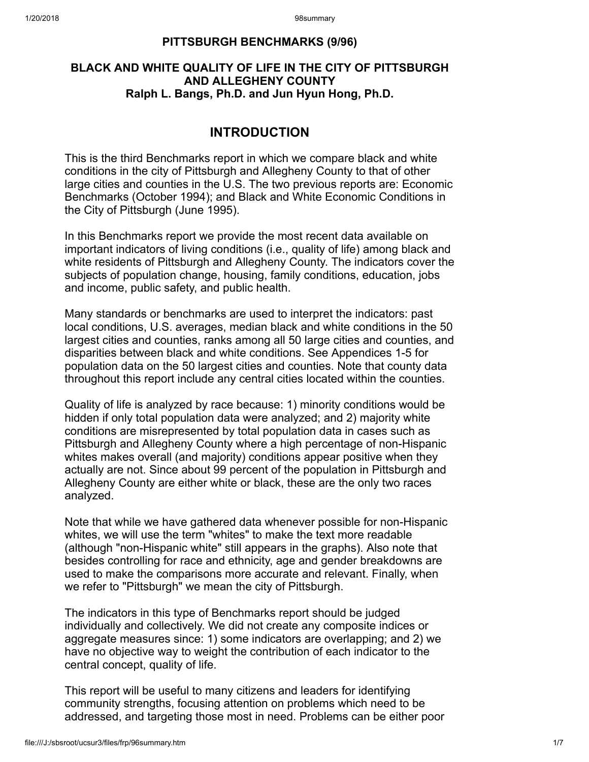## PITTSBURGH BENCHMARKS (9/96)

## BLACK AND WHITE QUALITY OF LIFE IN THE CITY OF PITTSBURGH AND ALLEGHENY COUNTY Ralph L. Bangs, Ph.D. and Jun Hyun Hong, Ph.D.

# INTRODUCTION

This is the third Benchmarks report in which we compare black and white conditions in the city of Pittsburgh and Allegheny County to that of other large cities and counties in the U.S. The two previous reports are: Economic Benchmarks (October 1994); and Black and White Economic Conditions in the City of Pittsburgh (June 1995).

In this Benchmarks report we provide the most recent data available on important indicators of living conditions (i.e., quality of life) among black and white residents of Pittsburgh and Allegheny County. The indicators cover the subjects of population change, housing, family conditions, education, jobs and income, public safety, and public health.

Many standards or benchmarks are used to interpret the indicators: past local conditions, U.S. averages, median black and white conditions in the 50 largest cities and counties, ranks among all 50 large cities and counties, and disparities between black and white conditions. See Appendices 1-5 for population data on the 50 largest cities and counties. Note that county data throughout this report include any central cities located within the counties.

Quality of life is analyzed by race because: 1) minority conditions would be hidden if only total population data were analyzed; and 2) majority white conditions are misrepresented by total population data in cases such as Pittsburgh and Allegheny County where a high percentage of non-Hispanic whites makes overall (and majority) conditions appear positive when they actually are not. Since about 99 percent of the population in Pittsburgh and Allegheny County are either white or black, these are the only two races analyzed.

Note that while we have gathered data whenever possible for non-Hispanic whites, we will use the term "whites" to make the text more readable (although "non-Hispanic white" still appears in the graphs). Also note that besides controlling for race and ethnicity, age and gender breakdowns are used to make the comparisons more accurate and relevant. Finally, when we refer to "Pittsburgh" we mean the city of Pittsburgh.

The indicators in this type of Benchmarks report should be judged individually and collectively. We did not create any composite indices or aggregate measures since: 1) some indicators are overlapping; and 2) we have no objective way to weight the contribution of each indicator to the central concept, quality of life.

This report will be useful to many citizens and leaders for identifying community strengths, focusing attention on problems which need to be addressed, and targeting those most in need. Problems can be either poor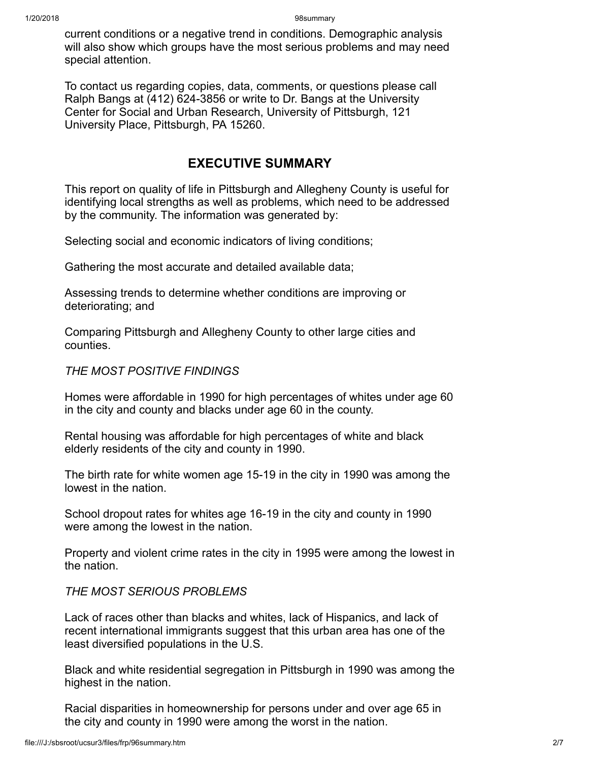#### 1/20/2018 98summary

current conditions or a negative trend in conditions. Demographic analysis will also show which groups have the most serious problems and may need special attention.

To contact us regarding copies, data, comments, or questions please call Ralph Bangs at (412) 624-3856 or write to Dr. Bangs at the University Center for Social and Urban Research, University of Pittsburgh, 121 University Place, Pittsburgh, PA 15260.

# EXECUTIVE SUMMARY

This report on quality of life in Pittsburgh and Allegheny County is useful for identifying local strengths as well as problems, which need to be addressed by the community. The information was generated by:

Selecting social and economic indicators of living conditions;

Gathering the most accurate and detailed available data;

Assessing trends to determine whether conditions are improving or deteriorating; and

Comparing Pittsburgh and Allegheny County to other large cities and counties.

### THE MOST POSITIVE FINDINGS

Homes were affordable in 1990 for high percentages of whites under age 60 in the city and county and blacks under age 60 in the county.

Rental housing was affordable for high percentages of white and black elderly residents of the city and county in 1990.

The birth rate for white women age 15-19 in the city in 1990 was among the lowest in the nation.

School dropout rates for whites age 16-19 in the city and county in 1990 were among the lowest in the nation.

Property and violent crime rates in the city in 1995 were among the lowest in the nation.

# THE MOST SERIOUS PROBLEMS

Lack of races other than blacks and whites, lack of Hispanics, and lack of recent international immigrants suggest that this urban area has one of the least diversified populations in the U.S.

Black and white residential segregation in Pittsburgh in 1990 was among the highest in the nation.

Racial disparities in homeownership for persons under and over age 65 in the city and county in 1990 were among the worst in the nation.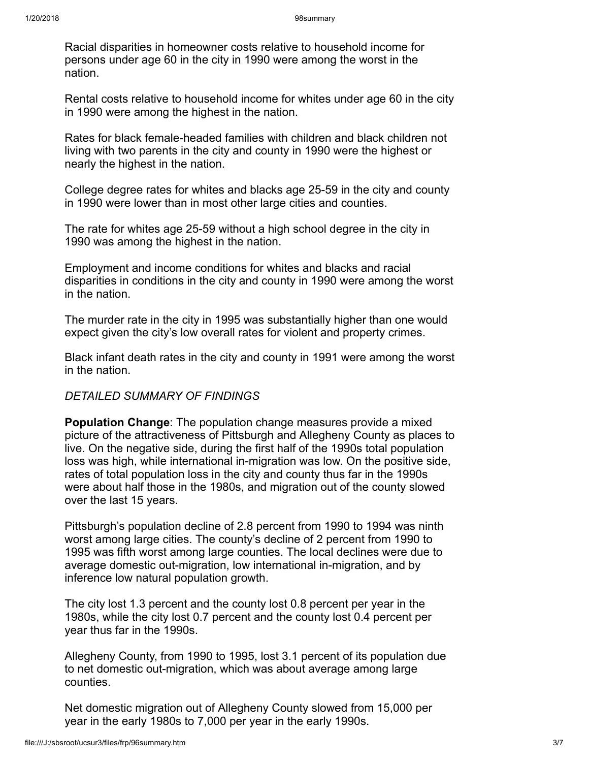Racial disparities in homeowner costs relative to household income for persons under age 60 in the city in 1990 were among the worst in the nation.

Rental costs relative to household income for whites under age 60 in the city in 1990 were among the highest in the nation.

Rates for black female-headed families with children and black children not living with two parents in the city and county in 1990 were the highest or nearly the highest in the nation.

College degree rates for whites and blacks age 25-59 in the city and county in 1990 were lower than in most other large cities and counties.

The rate for whites age 25-59 without a high school degree in the city in 1990 was among the highest in the nation.

Employment and income conditions for whites and blacks and racial disparities in conditions in the city and county in 1990 were among the worst in the nation.

The murder rate in the city in 1995 was substantially higher than one would expect given the city's low overall rates for violent and property crimes.

Black infant death rates in the city and county in 1991 were among the worst in the nation.

# DETAILED SUMMARY OF FINDINGS

Population Change: The population change measures provide a mixed picture of the attractiveness of Pittsburgh and Allegheny County as places to live. On the negative side, during the first half of the 1990s total population loss was high, while international in-migration was low. On the positive side, rates of total population loss in the city and county thus far in the 1990s were about half those in the 1980s, and migration out of the county slowed over the last 15 years.

Pittsburgh's population decline of 2.8 percent from 1990 to 1994 was ninth worst among large cities. The county's decline of 2 percent from 1990 to 1995 was fifth worst among large counties. The local declines were due to average domestic out-migration, low international in-migration, and by inference low natural population growth.

The city lost 1.3 percent and the county lost 0.8 percent per year in the 1980s, while the city lost 0.7 percent and the county lost 0.4 percent per year thus far in the 1990s.

Allegheny County, from 1990 to 1995, lost 3.1 percent of its population due to net domestic out-migration, which was about average among large counties.

Net domestic migration out of Allegheny County slowed from 15,000 per year in the early 1980s to 7,000 per year in the early 1990s.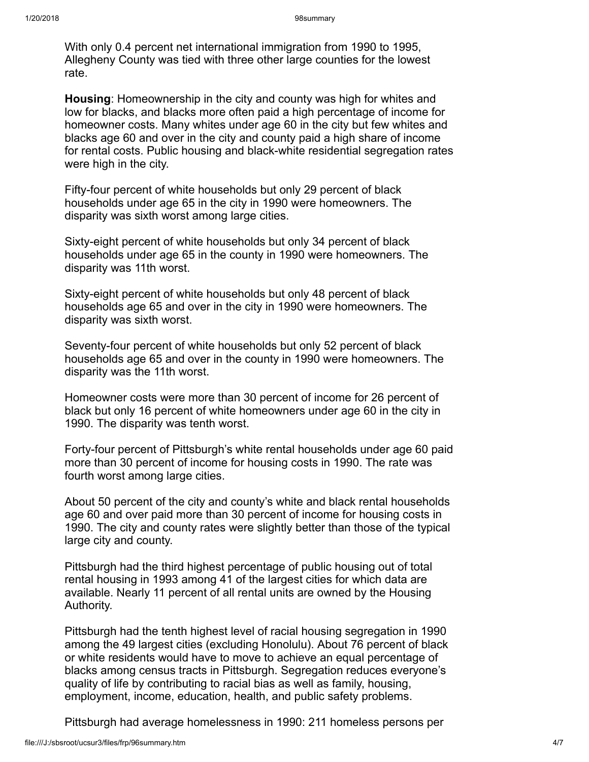With only 0.4 percent net international immigration from 1990 to 1995, Allegheny County was tied with three other large counties for the lowest rate.

Housing: Homeownership in the city and county was high for whites and low for blacks, and blacks more often paid a high percentage of income for homeowner costs. Many whites under age 60 in the city but few whites and blacks age 60 and over in the city and county paid a high share of income for rental costs. Public housing and black-white residential segregation rates were high in the city.

Fifty-four percent of white households but only 29 percent of black households under age 65 in the city in 1990 were homeowners. The disparity was sixth worst among large cities.

Sixty-eight percent of white households but only 34 percent of black households under age 65 in the county in 1990 were homeowners. The disparity was 11th worst.

Sixty-eight percent of white households but only 48 percent of black households age 65 and over in the city in 1990 were homeowners. The disparity was sixth worst.

Seventy-four percent of white households but only 52 percent of black households age 65 and over in the county in 1990 were homeowners. The disparity was the 11th worst.

Homeowner costs were more than 30 percent of income for 26 percent of black but only 16 percent of white homeowners under age 60 in the city in 1990. The disparity was tenth worst.

Forty-four percent of Pittsburgh's white rental households under age 60 paid more than 30 percent of income for housing costs in 1990. The rate was fourth worst among large cities.

About 50 percent of the city and county's white and black rental households age 60 and over paid more than 30 percent of income for housing costs in 1990. The city and county rates were slightly better than those of the typical large city and county.

Pittsburgh had the third highest percentage of public housing out of total rental housing in 1993 among 41 of the largest cities for which data are available. Nearly 11 percent of all rental units are owned by the Housing Authority.

Pittsburgh had the tenth highest level of racial housing segregation in 1990 among the 49 largest cities (excluding Honolulu). About 76 percent of black or white residents would have to move to achieve an equal percentage of blacks among census tracts in Pittsburgh. Segregation reduces everyone's quality of life by contributing to racial bias as well as family, housing, employment, income, education, health, and public safety problems.

Pittsburgh had average homelessness in 1990: 211 homeless persons per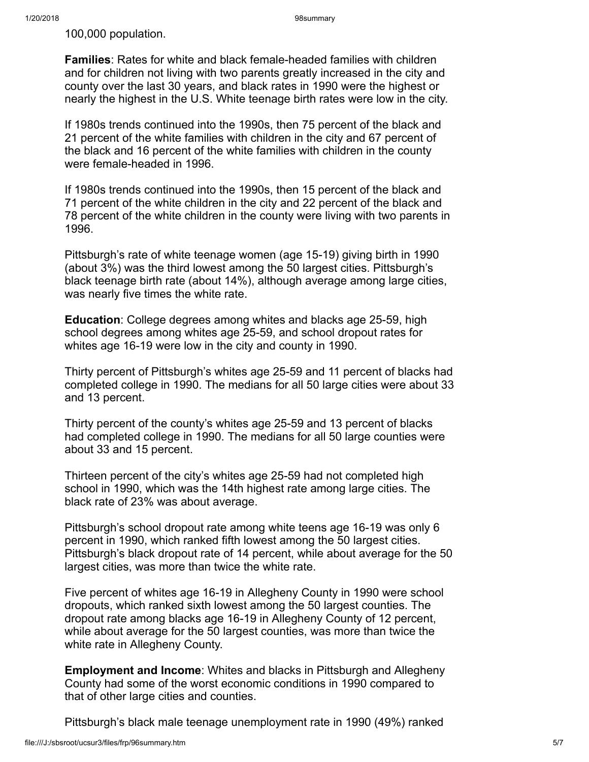100,000 population.

Families: Rates for white and black female-headed families with children and for children not living with two parents greatly increased in the city and county over the last 30 years, and black rates in 1990 were the highest or nearly the highest in the U.S. White teenage birth rates were low in the city.

If 1980s trends continued into the 1990s, then 75 percent of the black and 21 percent of the white families with children in the city and 67 percent of the black and 16 percent of the white families with children in the county were female-headed in 1996.

If 1980s trends continued into the 1990s, then 15 percent of the black and 71 percent of the white children in the city and 22 percent of the black and 78 percent of the white children in the county were living with two parents in 1996.

Pittsburgh's rate of white teenage women (age 15-19) giving birth in 1990 (about 3%) was the third lowest among the 50 largest cities. Pittsburgh's black teenage birth rate (about 14%), although average among large cities, was nearly five times the white rate.

Education: College degrees among whites and blacks age 25-59, high school degrees among whites age 25-59, and school dropout rates for whites age 16-19 were low in the city and county in 1990.

Thirty percent of Pittsburgh's whites age 25-59 and 11 percent of blacks had completed college in 1990. The medians for all 50 large cities were about 33 and 13 percent.

Thirty percent of the county's whites age 25-59 and 13 percent of blacks had completed college in 1990. The medians for all 50 large counties were about 33 and 15 percent.

Thirteen percent of the city's whites age 25-59 had not completed high school in 1990, which was the 14th highest rate among large cities. The black rate of 23% was about average.

Pittsburgh's school dropout rate among white teens age 16-19 was only 6 percent in 1990, which ranked fifth lowest among the 50 largest cities. Pittsburgh's black dropout rate of 14 percent, while about average for the 50 largest cities, was more than twice the white rate.

Five percent of whites age 16-19 in Allegheny County in 1990 were school dropouts, which ranked sixth lowest among the 50 largest counties. The dropout rate among blacks age 16-19 in Allegheny County of 12 percent, while about average for the 50 largest counties, was more than twice the white rate in Allegheny County.

Employment and Income: Whites and blacks in Pittsburgh and Allegheny County had some of the worst economic conditions in 1990 compared to that of other large cities and counties.

Pittsburgh's black male teenage unemployment rate in 1990 (49%) ranked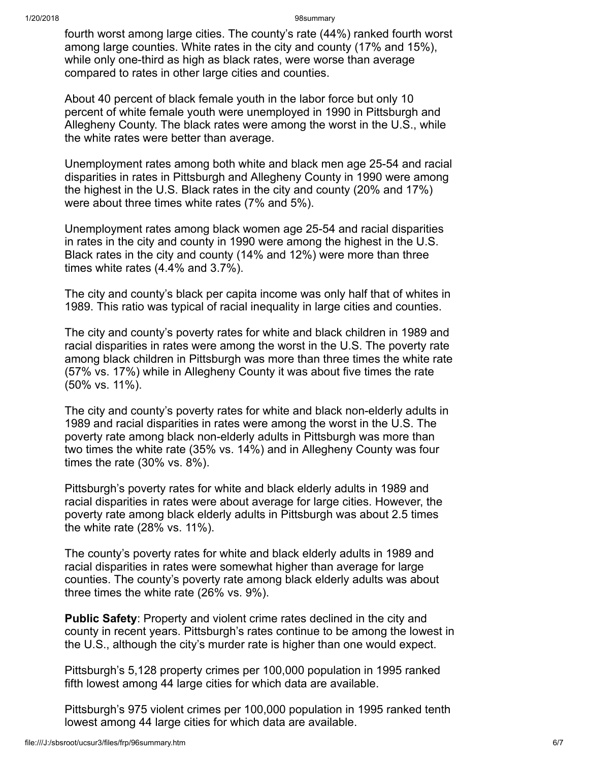1/20/2018 98summary

fourth worst among large cities. The county's rate (44%) ranked fourth worst among large counties. White rates in the city and county (17% and 15%), while only one-third as high as black rates, were worse than average compared to rates in other large cities and counties.

About 40 percent of black female youth in the labor force but only 10 percent of white female youth were unemployed in 1990 in Pittsburgh and Allegheny County. The black rates were among the worst in the U.S., while the white rates were better than average.

Unemployment rates among both white and black men age 25-54 and racial disparities in rates in Pittsburgh and Allegheny County in 1990 were among the highest in the U.S. Black rates in the city and county (20% and 17%) were about three times white rates (7% and 5%).

Unemployment rates among black women age 25-54 and racial disparities in rates in the city and county in 1990 were among the highest in the U.S. Black rates in the city and county (14% and 12%) were more than three times white rates (4.4% and 3.7%).

The city and county's black per capita income was only half that of whites in 1989. This ratio was typical of racial inequality in large cities and counties.

The city and county's poverty rates for white and black children in 1989 and racial disparities in rates were among the worst in the U.S. The poverty rate among black children in Pittsburgh was more than three times the white rate (57% vs. 17%) while in Allegheny County it was about five times the rate (50% vs. 11%).

The city and county's poverty rates for white and black non-elderly adults in 1989 and racial disparities in rates were among the worst in the U.S. The poverty rate among black non-elderly adults in Pittsburgh was more than two times the white rate (35% vs. 14%) and in Allegheny County was four times the rate (30% vs. 8%).

Pittsburgh's poverty rates for white and black elderly adults in 1989 and racial disparities in rates were about average for large cities. However, the poverty rate among black elderly adults in Pittsburgh was about 2.5 times the white rate (28% vs. 11%).

The county's poverty rates for white and black elderly adults in 1989 and racial disparities in rates were somewhat higher than average for large counties. The county's poverty rate among black elderly adults was about three times the white rate (26% vs. 9%).

**Public Safety**: Property and violent crime rates declined in the city and county in recent years. Pittsburgh's rates continue to be among the lowest in the U.S., although the city's murder rate is higher than one would expect.

Pittsburgh's 5,128 property crimes per 100,000 population in 1995 ranked fifth lowest among 44 large cities for which data are available.

Pittsburgh's 975 violent crimes per 100,000 population in 1995 ranked tenth lowest among 44 large cities for which data are available.